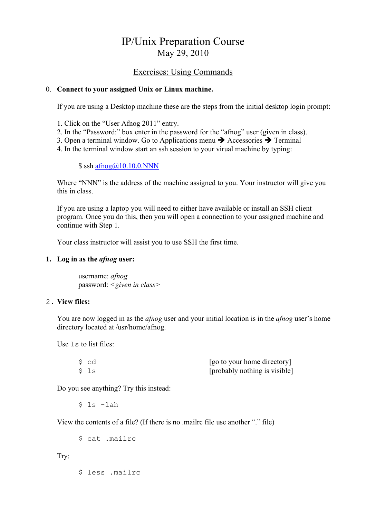# IP/Unix Preparation Course May 29, 2010

# Exercises: Using Commands

### 0. **Connect to your assigned Unix or Linux machine.**

If you are using a Desktop machine these are the steps from the initial desktop login prompt:

- 1. Click on the "User Afnog 2011" entry.
- 2. In the "Password:" box enter in the password for the "afnog" user (given in class).
- 3. Open a terminal window. Go to Applications menu  $\rightarrow$  Accessories  $\rightarrow$  Terminal
- 4. In the terminal window start an ssh session to your virual machine by typing:

# $$$  ssh afnog $@10.10.0$ .NNN

Where "NNN" is the address of the machine assigned to you. Your instructor will give you this in class.

If you are using a laptop you will need to either have available or install an SSH client program. Once you do this, then you will open a connection to your assigned machine and continue with Step 1.

Your class instructor will assist you to use SSH the first time.

# **1. Log in as the** *afnog* **user:**

username: *afnog* password: *<given in class>*

# 2. **View files:**

You are now logged in as the *afnog* user and your initial location is in the *afnog* user's home directory located at /usr/home/afnog.

Use  $1 \text{ s}$  to list files:

| \$ cd | [go to your home directory]   |
|-------|-------------------------------|
| \$ ls | [probably nothing is visible] |

Do you see anything? Try this instead:

\$ ls -lah

View the contents of a file? (If there is no .mailrc file use another "." file)

\$ cat .mailrc

Try:

\$ less .mailrc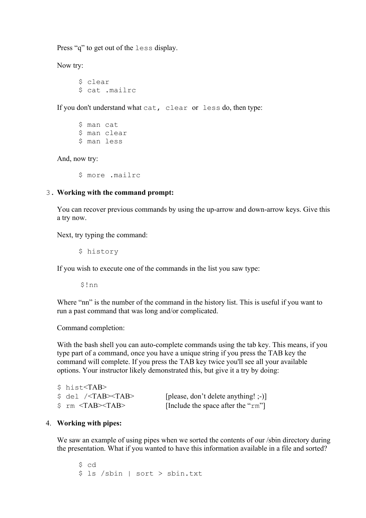Press "q" to get out of the less display.

Now try:

\$ clear \$ cat .mailrc

If you don't understand what cat, clear or less do, then type:

\$ man cat \$ man clear \$ man less

And, now try:

\$ more .mailrc

#### 3. **Working with the command prompt:**

You can recover previous commands by using the up-arrow and down-arrow keys. Give this a try now.

Next, try typing the command:

\$ history

If you wish to execute one of the commands in the list you saw type:

\$!nn

Where "nn" is the number of the command in the history list. This is useful if you want to run a past command that was long and/or complicated.

Command completion:

With the bash shell you can auto-complete commands using the tab key. This means, if you type part of a command, once you have a unique string if you press the TAB key the command will complete. If you press the TAB key twice you'll see all your available options. Your instructor likely demonstrated this, but give it a try by doing:

| \$ hist <tab></tab>              |                                      |
|----------------------------------|--------------------------------------|
| $$$ del / <tab><tab></tab></tab> | [please, don't delete anything! ;-)] |
| \$rm <b>TRB</b> <>>              | [Include the space after the "rm"]   |

#### 4. **Working with pipes:**

We saw an example of using pipes when we sorted the contents of our /sbin directory during the presentation. What if you wanted to have this information available in a file and sorted?

\$ cd \$ ls /sbin | sort > sbin.txt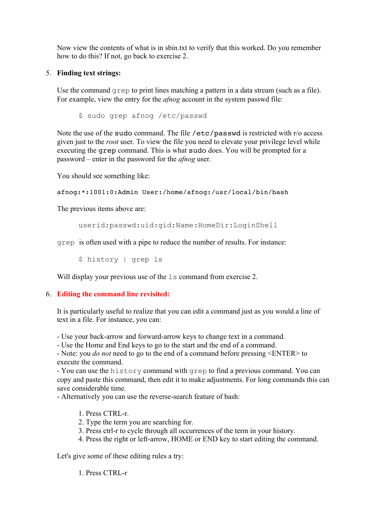Now view the contents of what is in sbin.txt to verify that this worked. Do you remember how to do this? If not, go back to exercise 2.

## 5. **Finding text strings:**

Use the command grep to print lines matching a pattern in a data stream (such as a file). For example, view the entry for the *afnog* account in the system passwd file:

\$ sudo grep afnog /etc/passwd

Note the use of the sudo command. The file /etc/passwd is restricted with r/o access given just to the *root* user. To view the file you need to elevate your privilege level while executing the grep command. This is what sudo does. You will be prompted for a password – enter in the password for the *afnog* user.

You should see something like:

afnog:\*:1001:0:Admin User:/home/afnog:/usr/local/bin/bash

The previous items above are:

userid:passwd:uid:gid:Name:HomeDir:LoginShell

grep is often used with a pipe to reduce the number of results. For instance:

\$ history | grep ls

Will display your previous use of the  $\perp$  s command from exercise 2.

### 6. **Editing the command line revisited:**

It is particularly useful to realize that you can edit a command just as you would a line of text in a file. For instance, you can:

- Use your back-arrow and forward-arrow keys to change text in a command.

- Use the Home and End keys to go to the start and the end of a command.

- Note: you *do not* need to go to the end of a command before pressing <ENTER> to execute the command.

- You can use the history command with grep to find a previous command. You can copy and paste this command, then edit it to make adjustments. For long commands this can save considerable time.

- Alternatively you can use the reverse-search feature of bash:

- 1. Press CTRL-r.
- 2. Type the term you are searching for.
- 3. Press ctrl-r to cycle through all occurrences of the term in your history.
- 4. Press the right or left-arrow, HOME or END key to start editing the command.

Let's give some of these editing rules a try:

1. Press CTRL-r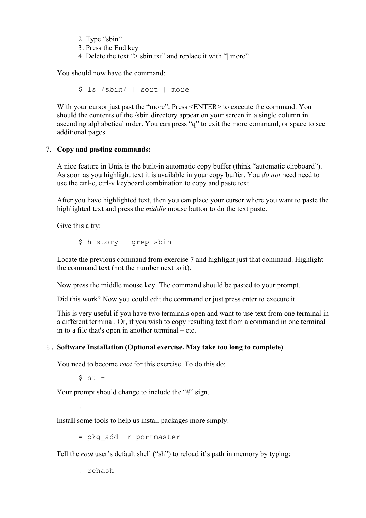2. Type "sbin"

- 3. Press the End key
- 4. Delete the text "> sbin.txt" and replace it with "| more"

You should now have the command:

\$ ls /sbin/ | sort | more

With your cursor just past the "more". Press <ENTER> to execute the command. You should the contents of the /sbin directory appear on your screen in a single column in ascending alphabetical order. You can press "q" to exit the more command, or space to see additional pages.

# 7. **Copy and pasting commands:**

A nice feature in Unix is the built-in automatic copy buffer (think "automatic clipboard"). As soon as you highlight text it is available in your copy buffer. You *do not* need need to use the ctrl-c, ctrl-v keyboard combination to copy and paste text.

After you have highlighted text, then you can place your cursor where you want to paste the highlighted text and press the *middle* mouse button to do the text paste.

Give this a try:

\$ history | grep sbin

Locate the previous command from exercise 7 and highlight just that command. Highlight the command text (not the number next to it).

Now press the middle mouse key. The command should be pasted to your prompt.

Did this work? Now you could edit the command or just press enter to execute it.

This is very useful if you have two terminals open and want to use text from one terminal in a different terminal. Or, if you wish to copy resulting text from a command in one terminal in to a file that's open in another terminal – etc.

# 8. **Software Installation (Optional exercise. May take too long to complete)**

You need to become *root* for this exercise. To do this do:

 $$ su -$ 

Your prompt should change to include the "#" sign.

#

Install some tools to help us install packages more simply.

# pkg\_add –r portmaster

Tell the *root* user's default shell ("sh") to reload it's path in memory by typing:

# rehash